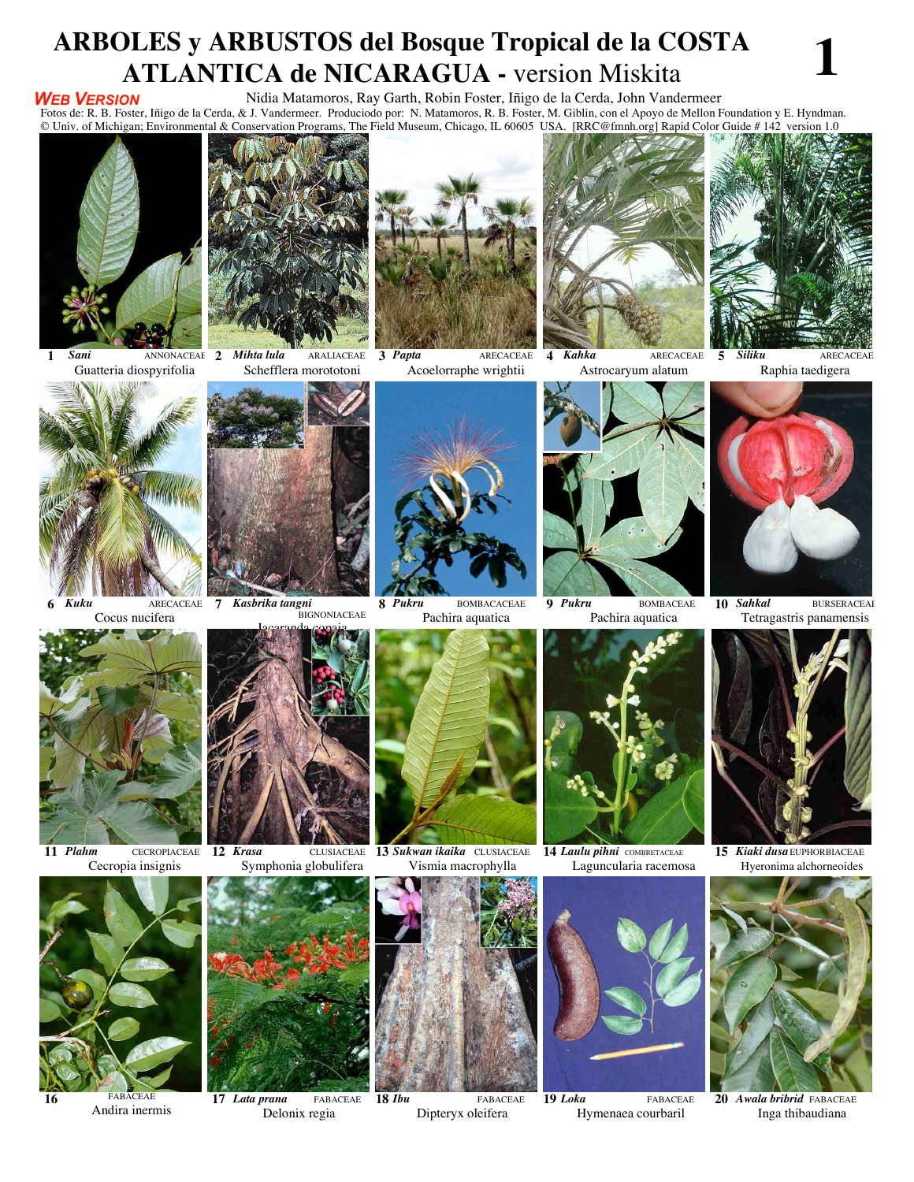## ARBOLES y ARBUSTOS del Bosque Tropical de la COSTA **ATLANTICA de NICARAGUA - version Miskita**

#### **WEB VERSION**

### Nidia Matamoros, Ray Garth, Robin Foster, Iñigo de la Cerda, John Vandermeer

Fotos de: R. B. Foster, Iñigo de la Cerda, & J. Vandermeer. Produciodo por: N. Matamoros, R. B. Foster, M. Giblin, con el Apoyo de Mellon Foundation y E. Hyndman. © Univ. of Michigan; Environmental & Conservation Programs, The Field Museum, Chicago, IL 60605 USA. [RRC@fmnh.org] Rapid Color Guide # 142 version 1.0



ANNONACEAE 2 Mihta lula Sani 1 Guatteria diospyrifolia



**ARALIACEAE** Schefflera morototoni

3 Papta

Acoelorraphe wrightii



**ARECACEAE** 



4 Kahka ARECACEAE



**ARECACEAE** 



Cocus nucifera





BIGNONIACEAE



**BOMBACACEAE** Pachira aquatica



9 Pukru **BOMBACEAE** Pachira aquatica



10 Sahkal **BURSERACEAE** Tetragastris panamensis



11 Plahm **CECROPIACEAE** Cecropia insignis

Andira inermis



Symphonia globulifera



17 Lata prana Delonix regia



13 Sukwan ikaika CLUSIACEAE Vismia macrophylla



FABACEAE Dipteryx oleifera





19 Loka FABACEAE Hymenaea courbaril



15 Kiaki dusa EUPHORBIACEAE Hyeronima alchorneoides



20 Awala bribrid FABACEAE Inga thibaudiana